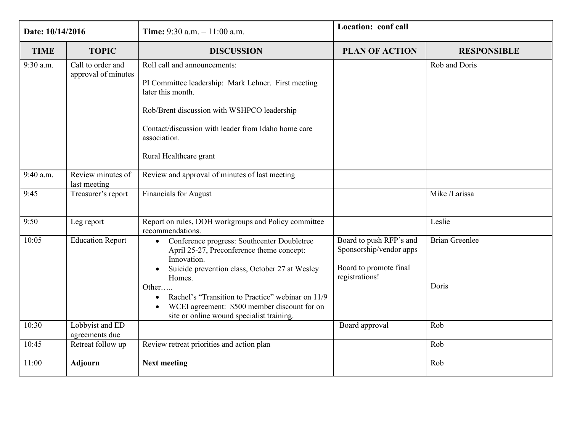| Date: 10/14/2016 |                                          | <b>Time:</b> 9:30 a.m. $-11:00$ a.m.                                                                                                                                                                                                                                                                                                                     | Location: conf call                                                                            |                                |
|------------------|------------------------------------------|----------------------------------------------------------------------------------------------------------------------------------------------------------------------------------------------------------------------------------------------------------------------------------------------------------------------------------------------------------|------------------------------------------------------------------------------------------------|--------------------------------|
| <b>TIME</b>      | <b>TOPIC</b>                             | <b>DISCUSSION</b>                                                                                                                                                                                                                                                                                                                                        | <b>PLAN OF ACTION</b>                                                                          | <b>RESPONSIBLE</b>             |
| 9:30 a.m.        | Call to order and<br>approval of minutes | Roll call and announcements:<br>PI Committee leadership: Mark Lehner. First meeting<br>later this month.<br>Rob/Brent discussion with WSHPCO leadership<br>Contact/discussion with leader from Idaho home care<br>association.<br>Rural Healthcare grant                                                                                                 |                                                                                                | Rob and Doris                  |
| 9:40 a.m.        | Review minutes of<br>last meeting        | Review and approval of minutes of last meeting                                                                                                                                                                                                                                                                                                           |                                                                                                |                                |
| 9:45             | Treasurer's report                       | <b>Financials for August</b>                                                                                                                                                                                                                                                                                                                             |                                                                                                | Mike /Larissa                  |
| 9:50             | Leg report                               | Report on rules, DOH workgroups and Policy committee<br>recommendations.                                                                                                                                                                                                                                                                                 |                                                                                                | Leslie                         |
| 10:05            | <b>Education Report</b>                  | Conference progress: Southcenter Doubletree<br>$\bullet$<br>April 25-27, Preconference theme concept:<br>Innovation.<br>Suicide prevention class, October 27 at Wesley<br>Homes.<br>Other<br>Rachel's "Transition to Practice" webinar on 11/9<br>WCEI agreement: \$500 member discount for on<br>$\bullet$<br>site or online wound specialist training. | Board to push RFP's and<br>Sponsorship/vendor apps<br>Board to promote final<br>registrations! | <b>Brian Greenlee</b><br>Doris |
| 10:30            | Lobbyist and ED<br>agreements due        |                                                                                                                                                                                                                                                                                                                                                          | Board approval                                                                                 | Rob                            |
| 10:45            | Retreat follow up                        | Review retreat priorities and action plan                                                                                                                                                                                                                                                                                                                |                                                                                                | Rob                            |
| 11:00            | Adjourn                                  | <b>Next meeting</b>                                                                                                                                                                                                                                                                                                                                      |                                                                                                | Rob                            |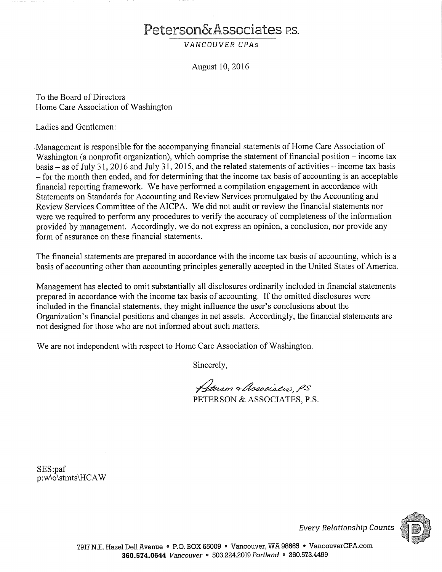# Peterson&Associates P.S.

VANCOUVER CPAS

August 10, 2016

To the Board of Directors Home Care Association of Washington

Ladies and Gentlemen:

Management is responsible for the accompanying financial statements of Home Care Association of Washington (a nonprofit organization), which comprise the statement of financial position – income tax basis – as of July 31, 2016 and July 31, 2015, and the related statements of activities – income tax basis - for the month then ended, and for determining that the income tax basis of accounting is an acceptable financial reporting framework. We have performed a compilation engagement in accordance with Statements on Standards for Accounting and Review Services promulgated by the Accounting and Review Services Committee of the AICPA. We did not audit or review the financial statements nor were we required to perform any procedures to verify the accuracy of completeness of the information provided by management. Accordingly, we do not express an opinion, a conclusion, nor provide any form of assurance on these financial statements.

The financial statements are prepared in accordance with the income tax basis of accounting, which is a basis of accounting other than accounting principles generally accepted in the United States of America.

Management has elected to omit substantially all disclosures ordinarily included in financial statements prepared in accordance with the income tax basis of accounting. If the omitted disclosures were included in the financial statements, they might influence the user's conclusions about the Organization's financial positions and changes in net assets. Accordingly, the financial statements are not designed for those who are not informed about such matters.

We are not independent with respect to Home Care Association of Washington.

Sincerely,

Peterson & Associatio, PS PETERSON & ASSOCIATES, P.S.

SES:paf p:w\o\stmts\HCAW



**Every Relationship Counts**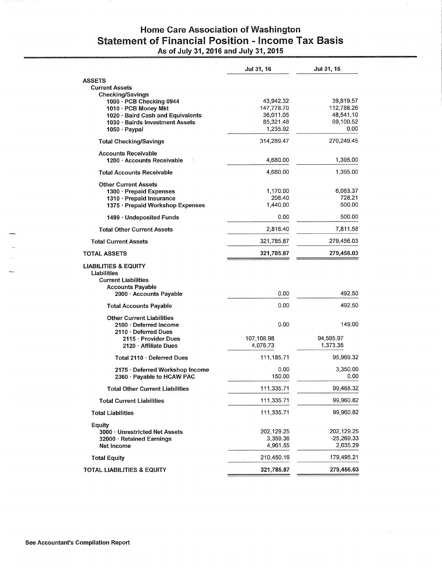# Home Care Association of Washington Statement of Financial Position - Income Tax Basis<br>As of July 31, 2016 and July 31, 2015

|                                                                                                         | Jul 31, 16                         | Jul 31, 15                             |
|---------------------------------------------------------------------------------------------------------|------------------------------------|----------------------------------------|
| <b>ASSETS</b>                                                                                           |                                    |                                        |
| <b>Current Assets</b>                                                                                   |                                    |                                        |
| Checking/Savings<br>1000 · PCB Checking 0944                                                            | 43,942.32                          | 39.819.57                              |
| 1010 · PCB Money Mkt                                                                                    | 147,778.70                         | 112,788.26                             |
| 1020 · Baird Cash and Equivalents                                                                       | 36,011.05                          | 48,541.10                              |
| 1030 · Bairds Investment Assets                                                                         | 85,321.48                          | 69,100.52                              |
| $1050 \cdot$ Paypal                                                                                     | 1,235.92                           | 0.00                                   |
| <b>Total Checking/Savings</b>                                                                           | 314,289.47                         | 270,249.45                             |
| <b>Accounts Receivable</b><br>1200 · Accounts Receivable                                                | 4,680.00                           | 1,395.00                               |
| <b>Total Accounts Receivable</b>                                                                        | 4,680.00                           | 1,395.00                               |
| <b>Other Current Assets</b>                                                                             |                                    |                                        |
| 1300 · Prepaid Expenses                                                                                 | 1,170.00                           | 6,083.37                               |
| 1310 · Prepaid Insurance                                                                                | 206.40                             | 728.21                                 |
| 1375 · Prepaid Workshop Expenses                                                                        | 1,440.00                           | 500.00                                 |
| 1499 · Undeposited Funds                                                                                | 0.00                               | 500.00                                 |
| <b>Total Other Current Assets</b>                                                                       | 2,816.40                           | 7,811.58                               |
| <b>Total Current Assets</b>                                                                             | 321,785.87                         | 279,456.03                             |
| <b>TOTAL ASSETS</b>                                                                                     | 321,785.87                         | 279,456.03                             |
| <b>LIABILITIES &amp; EQUITY</b><br>Liabilities<br><b>Current Liabilities</b><br><b>Accounts Payable</b> |                                    |                                        |
| 2000 · Accounts Payable                                                                                 | 0.00                               | 492.50                                 |
| <b>Total Accounts Payable</b>                                                                           | 0.00                               | 492.50                                 |
| <b>Other Current Liabilities</b><br>$2100 \cdot$ Deferred Income                                        | 0.00                               | 149.00                                 |
| $2110 \cdot$ Deferred Dues                                                                              |                                    |                                        |
| 2115 · Provider Dues                                                                                    | 107,108.98                         | 94,595.97                              |
| 2120 Affiliate Dues                                                                                     | 4,076.73                           | 1,373.35                               |
| Total 2110 · Deferred Dues                                                                              | 111, 185. 71                       | 95,969.32                              |
| 2175 · Deferred Workshop Income                                                                         | 0.00                               | 3,350.00                               |
| 2360 · Payable to HCAW PAC                                                                              | 150.00                             | 0.00                                   |
| <b>Total Other Current Liabilities</b>                                                                  | 111,335.71                         | 99,468.32                              |
| <b>Total Current Liabilities</b>                                                                        | 111,335.71                         | 99,960.82                              |
| <b>Total Liabilities</b>                                                                                | 111,335.71                         | 99,960.82                              |
| Equity<br>3000 · Unrestricted Net Assets<br>32000 · Retained Earnings<br>Net Income                     | 202,129.25<br>3,359.36<br>4,961.55 | 202,129.25<br>$-25,269.33$<br>2,635.29 |
| <b>Total Equity</b>                                                                                     | 210,450.16                         | 179,495.21                             |
| TOTAL LIABILITIES & EQUITY                                                                              | 321,785.87                         | 279,456.03                             |
|                                                                                                         |                                    |                                        |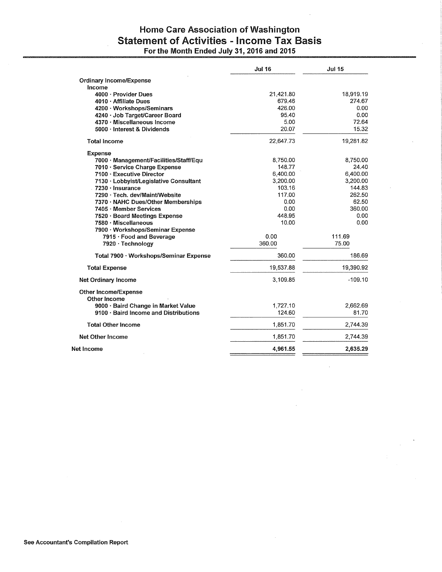### Home Care Association of Washington **Statement of Activities - Income Tax Basis** For the Month Ended July 31, 2016 and 2015

|                                             | <b>Jul 16</b> | <b>Jul 15</b> |
|---------------------------------------------|---------------|---------------|
| <b>Ordinary Income/Expense</b>              |               |               |
| Income                                      |               |               |
| 4000 · Provider Dues                        | 21,421.80     | 18,919.19     |
| 4010 · Affiliate Dues                       | 679.46        | 274.67        |
| 4200 · Workshops/Seminars                   | 426.00        | 0.00          |
| 4240 · Job Target/Career Board              | 95.40         | 0.00          |
| 4370 · Miscellaneous Income                 | 5.00          | 72.64         |
| 5000 · Interest & Dividends                 | 20.07         | 15.32         |
| <b>Total Income</b>                         | 22,647.73     | 19,281.82     |
| <b>Expense</b>                              |               |               |
| 7000 · Management/Facilities/Staff/Equ      | 8,750.00      | 8,750.00      |
| 7010 · Service Charge Expense               | 148.77        | 24.40         |
| 7100 · Executive Director                   | 6,400.00      | 6,400.00      |
| 7130 · Lobbyist/Legislative Consultant      | 3,200.00      | 3,200.00      |
| $.7230 \cdot Insurance$                     | 103.16        | 144.83        |
| 7290 · Tech. dev/Maint/Website              | 117.00        | 262.50        |
| 7370 · NAHC Dues/Other Memberships          | 0.00          | 62.50         |
| 7405 · Member Services                      | 0.00          | 360.00        |
| 7520 · Board Meetings Expense               | 448.95        | 0.00          |
| 7580 · Miscellaneous                        | 10.00         | 0.00          |
| 7900 · Workshops/Seminar Expense            |               |               |
| 7915 · Food and Beverage                    | 0.00          | 111.69        |
| 7920 · Technology                           | 360.00        | 75.00         |
| Total 7900 · Workshops/Seminar Expense      | 360.00        | 186.69        |
| <b>Total Expense</b>                        | 19,537.88     | 19,390.92     |
| Net Ordinary Income                         | 3,109.85      | $-109.10$     |
| <b>Other Income/Expense</b><br>Other Income |               |               |
| 9000 · Baird Change in Market Value         | 1,727.10      | 2,662.69      |
| 9100 · Baird Income and Distributions       | 124.60        | 81.70         |
| <b>Total Other Income</b>                   | 1,851.70      | 2,744.39      |
| <b>Net Other Income</b>                     | 1,851.70      | 2,744.39      |
|                                             |               |               |
| Net Income                                  | 4,961.55      | 2,635.29      |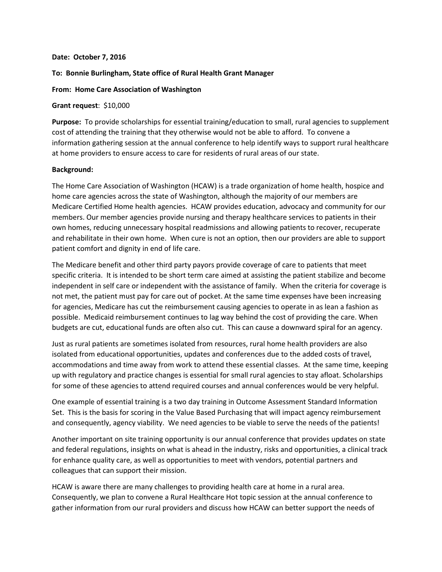#### **Date: October 7, 2016**

#### **To: Bonnie Burlingham, State office of Rural Health Grant Manager**

#### **From: Home Care Association of Washington**

#### **Grant request**: \$10,000

**Purpose:** To provide scholarships for essential training/education to small, rural agencies to supplement cost of attending the training that they otherwise would not be able to afford. To convene a information gathering session at the annual conference to help identify ways to support rural healthcare at home providers to ensure access to care for residents of rural areas of our state.

#### **Background:**

The Home Care Association of Washington (HCAW) is a trade organization of home health, hospice and home care agencies across the state of Washington, although the majority of our members are Medicare Certified Home health agencies. HCAW provides education, advocacy and community for our members. Our member agencies provide nursing and therapy healthcare services to patients in their own homes, reducing unnecessary hospital readmissions and allowing patients to recover, recuperate and rehabilitate in their own home. When cure is not an option, then our providers are able to support patient comfort and dignity in end of life care.

The Medicare benefit and other third party payors provide coverage of care to patients that meet specific criteria. It is intended to be short term care aimed at assisting the patient stabilize and become independent in self care or independent with the assistance of family. When the criteria for coverage is not met, the patient must pay for care out of pocket. At the same time expenses have been increasing for agencies, Medicare has cut the reimbursement causing agencies to operate in as lean a fashion as possible. Medicaid reimbursement continues to lag way behind the cost of providing the care. When budgets are cut, educational funds are often also cut. This can cause a downward spiral for an agency.

Just as rural patients are sometimes isolated from resources, rural home health providers are also isolated from educational opportunities, updates and conferences due to the added costs of travel, accommodations and time away from work to attend these essential classes. At the same time, keeping up with regulatory and practice changes is essential for small rural agencies to stay afloat. Scholarships for some of these agencies to attend required courses and annual conferences would be very helpful.

One example of essential training is a two day training in Outcome Assessment Standard Information Set. This is the basis for scoring in the Value Based Purchasing that will impact agency reimbursement and consequently, agency viability. We need agencies to be viable to serve the needs of the patients!

Another important on site training opportunity is our annual conference that provides updates on state and federal regulations, insights on what is ahead in the industry, risks and opportunities, a clinical track for enhance quality care, as well as opportunities to meet with vendors, potential partners and colleagues that can support their mission.

HCAW is aware there are many challenges to providing health care at home in a rural area. Consequently, we plan to convene a Rural Healthcare Hot topic session at the annual conference to gather information from our rural providers and discuss how HCAW can better support the needs of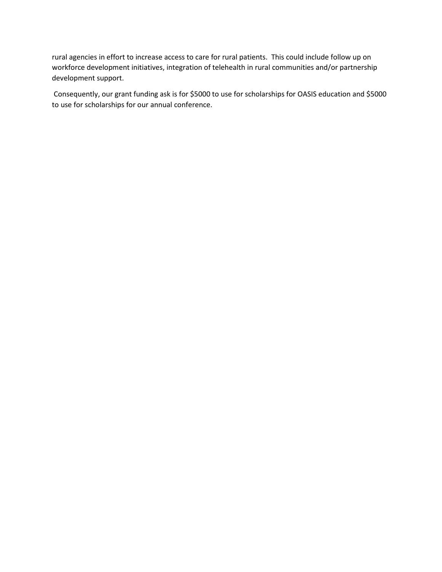rural agencies in effort to increase access to care for rural patients. This could include follow up on workforce development initiatives, integration of telehealth in rural communities and/or partnership development support.

Consequently, our grant funding ask is for \$5000 to use for scholarships for OASIS education and \$5000 to use for scholarships for our annual conference.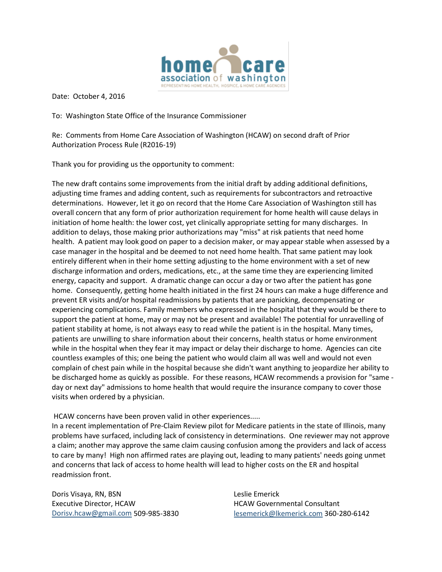

Date: October 4, 2016

To: Washington State Office of the Insurance Commissioner

Re: Comments from Home Care Association of Washington (HCAW) on second draft of Prior Authorization Process Rule (R2016-19)

Thank you for providing us the opportunity to comment:

The new draft contains some improvements from the initial draft by adding additional definitions, adjusting time frames and adding content, such as requirements for subcontractors and retroactive determinations. However, let it go on record that the Home Care Association of Washington still has overall concern that any form of prior authorization requirement for home health will cause delays in initiation of home health: the lower cost, yet clinically appropriate setting for many discharges. In addition to delays, those making prior authorizations may "miss" at risk patients that need home health. A patient may look good on paper to a decision maker, or may appear stable when assessed by a case manager in the hospital and be deemed to not need home health. That same patient may look entirely different when in their home setting adjusting to the home environment with a set of new discharge information and orders, medications, etc., at the same time they are experiencing limited energy, capacity and support. A dramatic change can occur a day or two after the patient has gone home. Consequently, getting home health initiated in the first 24 hours can make a huge difference and prevent ER visits and/or hospital readmissions by patients that are panicking, decompensating or experiencing complications. Family members who expressed in the hospital that they would be there to support the patient at home, may or may not be present and available! The potential for unravelling of patient stability at home, is not always easy to read while the patient is in the hospital. Many times, patients are unwilling to share information about their concerns, health status or home environment while in the hospital when they fear it may impact or delay their discharge to home. Agencies can cite countless examples of this; one being the patient who would claim all was well and would not even complain of chest pain while in the hospital because she didn't want anything to jeopardize her ability to be discharged home as quickly as possible. For these reasons, HCAW recommends a provision for "same day or next day" admissions to home health that would require the insurance company to cover those visits when ordered by a physician.

HCAW concerns have been proven valid in other experiences.....

In a recent implementation of Pre-Claim Review pilot for Medicare patients in the state of Illinois, many problems have surfaced, including lack of consistency in determinations. One reviewer may not approve a claim; another may approve the same claim causing confusion among the providers and lack of access to care by many! High non affirmed rates are playing out, leading to many patients' needs going unmet and concerns that lack of access to home health will lead to higher costs on the ER and hospital readmission front.

Doris Visaya, RN, BSN Executive Director, HCAW [Dorisv.hcaw@gmail.com](mailto:Dorisv.hcaw@gmail.com) 509-985-3830

Leslie Emerick HCAW Governmental Consultant [lesemerick@lkemerick.com](mailto:lesemerick@lkemerick.com) 360-280-6142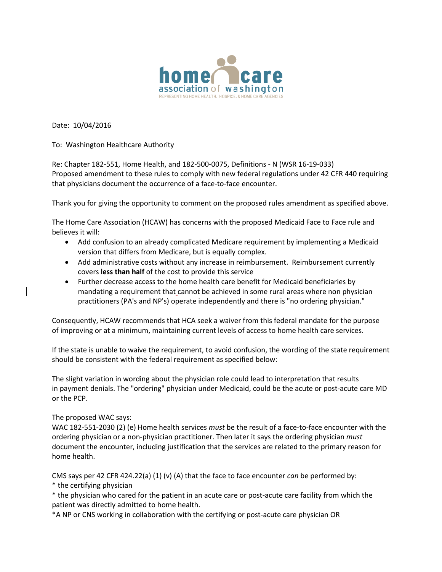

Date: 10/04/2016

To: Washington Healthcare Authority

Re: Chapter 182-551, Home Health, and 182-500-0075, Definitions - N (WSR 16-19-033) Proposed amendment to these rules to comply with new federal regulations under 42 CFR 440 requiring that physicians document the occurrence of a face-to-face encounter.

Thank you for giving the opportunity to comment on the proposed rules amendment as specified above.

The Home Care Association (HCAW) has concerns with the proposed Medicaid Face to Face rule and believes it will:

- Add confusion to an already complicated Medicare requirement by implementing a Medicaid version that differs from Medicare, but is equally complex.
- Add administrative costs without any increase in reimbursement. Reimbursement currently covers **less than half** of the cost to provide this service
- Further decrease access to the home health care benefit for Medicaid beneficiaries by mandating a requirement that cannot be achieved in some rural areas where non physician practitioners (PA's and NP's) operate independently and there is "no ordering physician."

Consequently, HCAW recommends that HCA seek a waiver from this federal mandate for the purpose of improving or at a minimum, maintaining current levels of access to home health care services.

If the state is unable to waive the requirement, to avoid confusion, the wording of the state requirement should be consistent with the federal requirement as specified below:

The slight variation in wording about the physician role could lead to interpretation that results in payment denials. The "ordering" physician under Medicaid, could be the acute or post-acute care MD or the PCP.

#### The proposed WAC says:

WAC 182-551-2030 (2) (e) Home health services *must* be the result of a face-to-face encounter with the ordering physician or a non-physician practitioner. Then later it says the ordering physician *must* document the encounter, including justification that the services are related to the primary reason for home health.

CMS says per 42 CFR 424.22(a) (1) (v) (A) that the face to face encounter *can* be performed by: \* the certifying physician

\* the physician who cared for the patient in an acute care or post-acute care facility from which the patient was directly admitted to home health.

\*A NP or CNS working in collaboration with the certifying or post-acute care physician OR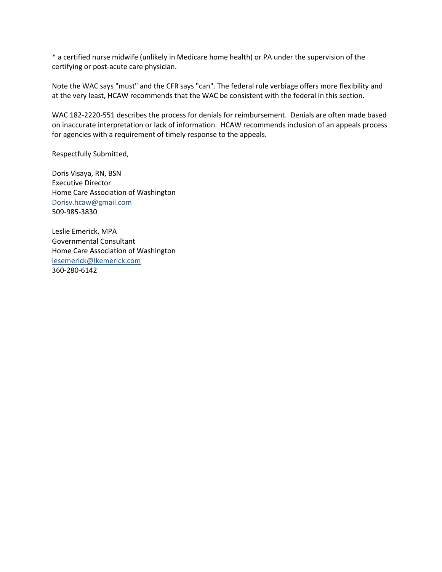\* a certified nurse midwife (unlikely in Medicare home health) or PA under the supervision of the certifying or post-acute care physician.

Note the WAC says "must" and the CFR says "can". The federal rule verbiage offers more flexibility and at the very least, HCAW recommends that the WAC be consistent with the federal in this section.

WAC 182-2220-551 describes the process for denials for reimbursement. Denials are often made based on inaccurate interpretation or lack of information. HCAW recommends inclusion of an appeals process for agencies with a requirement of timely response to the appeals.

Respectfully Submitted,

Doris Visaya, RN, BSN Executive Director Home Care Association of Washington [Dorisv.hcaw@gmail.com](mailto:Dorisv.hcaw@gmail.com) 509-985-3830

Leslie Emerick, MPA Governmental Consultant Home Care Association of Washington [lesemerick@lkemerick.com](mailto:lesemerick@lkemerick.com) 360-280-6142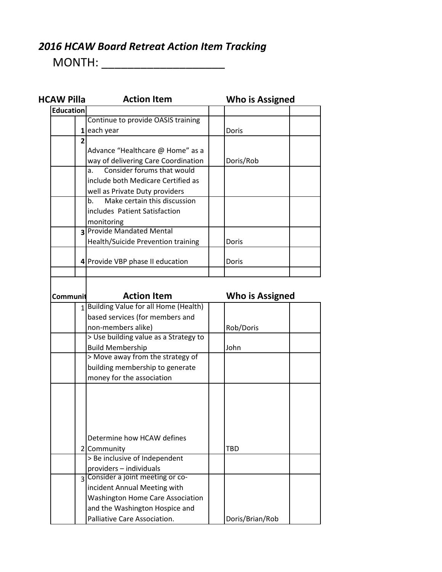## *2016 HCAW Board Retreat Action Item Tracking*

MONTH: \_\_\_\_\_\_\_\_\_\_\_\_\_\_\_\_\_\_\_

| <b>HCAW Pilla</b> | <b>Action Item</b>                      | Who is Assigned |
|-------------------|-----------------------------------------|-----------------|
| <b>Education</b>  |                                         |                 |
|                   | Continue to provide OASIS training      |                 |
|                   | 1 each year                             | Doris           |
| $\overline{2}$    |                                         |                 |
|                   | Advance "Healthcare @ Home" as a        |                 |
|                   | way of delivering Care Coordination     | Doris/Rob       |
|                   | Consider forums that would<br>a.        |                 |
|                   | include both Medicare Certified as      |                 |
|                   | well as Private Duty providers          |                 |
|                   | Make certain this discussion<br>b.      |                 |
|                   | includes Patient Satisfaction           |                 |
|                   | monitoring                              |                 |
|                   | 3 Provide Mandated Mental               |                 |
|                   | Health/Suicide Prevention training      | Doris           |
|                   |                                         |                 |
|                   | 4 Provide VBP phase II education        | Doris           |
|                   |                                         |                 |
|                   |                                         |                 |
| Communit          | <b>Action Item</b>                      | Who is Assigned |
|                   | 1 Building Value for all Home (Health)  |                 |
|                   | based services (for members and         |                 |
|                   | non-members alike)                      | Rob/Doris       |
|                   | > Use building value as a Strategy to   |                 |
|                   | <b>Build Membership</b>                 | John            |
|                   | > Move away from the strategy of        |                 |
|                   | building membership to generate         |                 |
|                   | money for the association               |                 |
|                   |                                         |                 |
|                   |                                         |                 |
|                   |                                         |                 |
|                   |                                         |                 |
|                   |                                         |                 |
|                   | Determine how HCAW defines              |                 |
|                   | 2 Community                             | TBD             |
|                   | > Be inclusive of Independent           |                 |
|                   | providers - individuals                 |                 |
| $\overline{3}$    | Consider a joint meeting or co-         |                 |
|                   | incident Annual Meeting with            |                 |
|                   | <b>Washington Home Care Association</b> |                 |
|                   | and the Washington Hospice and          |                 |
|                   | Palliative Care Association.            | Doris/Brian/Rob |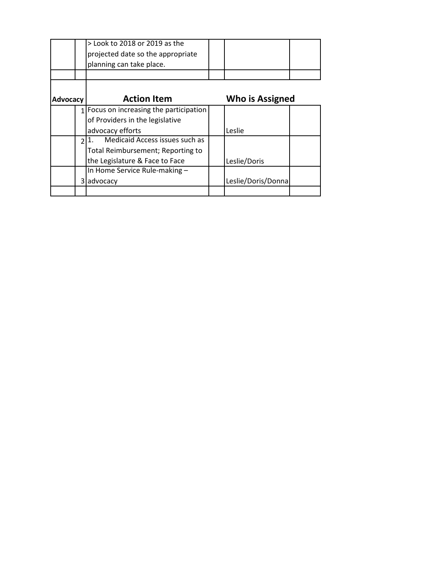|          |               | > Look to 2018 or 2019 as the         |                    |  |
|----------|---------------|---------------------------------------|--------------------|--|
|          |               | projected date so the appropriate     |                    |  |
|          |               | planning can take place.              |                    |  |
|          |               |                                       |                    |  |
|          |               |                                       |                    |  |
| Advocacy |               | <b>Action Item</b>                    | Who is Assigned    |  |
|          |               | Focus on increasing the participation |                    |  |
|          |               | of Providers in the legislative       |                    |  |
|          |               | advocacy efforts                      | Leslie             |  |
|          | $\mathcal{P}$ | Medicaid Access issues such as        |                    |  |
|          |               | Total Reimbursement; Reporting to     |                    |  |
|          |               | the Legislature & Face to Face        | Leslie/Doris       |  |
|          |               | In Home Service Rule-making -         |                    |  |
|          |               | 3 advocacy                            | Leslie/Doris/Donna |  |
|          |               |                                       |                    |  |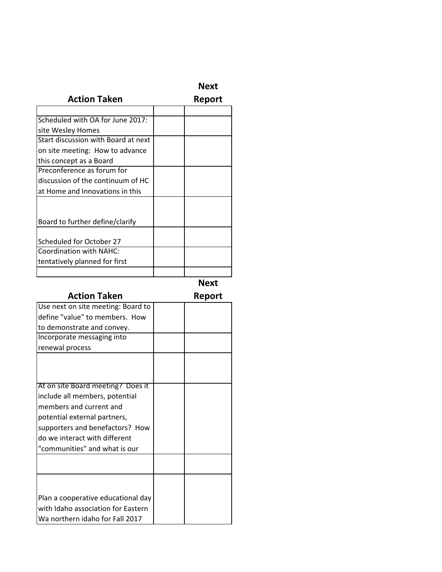| ж.<br>۰, |
|----------|
|----------|

## **Action Taken**

**Report** 

| Scheduled with OA for June 2017:    |  |
|-------------------------------------|--|
| site Wesley Homes                   |  |
| Start discussion with Board at next |  |
| on site meeting: How to advance     |  |
| this concept as a Board             |  |
| Preconference as forum for          |  |
| discussion of the continuum of HC   |  |
| at Home and Innovations in this     |  |
|                                     |  |
|                                     |  |
| Board to further define/clarify     |  |
|                                     |  |
| Scheduled for October 27            |  |
| Coordination with NAHC:             |  |
| tentatively planned for first       |  |
|                                     |  |

**Next** 

| <b>Action Taken</b>                | Report |
|------------------------------------|--------|
| Use next on site meeting: Board to |        |
| define "value" to members. How     |        |
| to demonstrate and convey.         |        |
| Incorporate messaging into         |        |
| renewal process                    |        |
|                                    |        |
|                                    |        |
| At on site Board meeting? Does it  |        |
| include all members, potential     |        |
| members and current and            |        |
| potential external partners,       |        |
| supporters and benefactors? How    |        |
| do we interact with different      |        |
| "communities" and what is our      |        |
|                                    |        |
|                                    |        |
|                                    |        |
| Plan a cooperative educational day |        |
| with Idaho association for Eastern |        |
| Wa northern idaho for Fall 2017    |        |